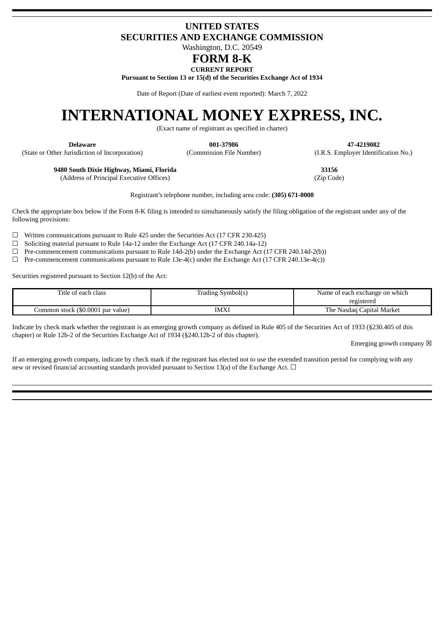# **UNITED STATES SECURITIES AND EXCHANGE COMMISSION**

Washington, D.C. 20549

# **FORM 8-K**

**CURRENT REPORT**

**Pursuant to Section 13 or 15(d) of the Securities Exchange Act of 1934**

Date of Report (Date of earliest event reported): March 7, 2022

# **INTERNATIONAL MONEY EXPRESS, INC.**

(Exact name of registrant as specified in charter)

(State or Other Jurisdiction of Incorporation) (Commission File Number) (I.R.S. Employer Identification No.)

**Delaware 001-37986 47-4219082**

**9480 South Dixie Highway, Miami, Florida 33156**

(Address of Principal Executive Offices) (Zip Code)

Registrant's telephone number, including area code: **(305) 671-8000**

Check the appropriate box below if the Form 8-K filing is intended to simultaneously satisfy the filing obligation of the registrant under any of the following provisions:

 $\Box$  Written communications pursuant to Rule 425 under the Securities Act (17 CFR 230.425)

☐ Soliciting material pursuant to Rule 14a-12 under the Exchange Act (17 CFR 240.14a-12)

 $\Box$  Pre-commencement communications pursuant to Rule 14d-2(b) under the Exchange Act (17 CFR 240.14d-2(b))

 $\Box$  Pre-commencement communications pursuant to Rule 13e-4(c) under the Exchange Act (17 CFR 240.13e-4(c))

Securities registered pursuant to Section 12(b) of the Act:

| Title of each class               | Trading Symbol(s) | Name of each exchange on which |
|-----------------------------------|-------------------|--------------------------------|
|                                   |                   | registered                     |
| Common stock (\$0.0001 par value) | IMXI              | Nasdag Capital Market<br>The . |

Indicate by check mark whether the registrant is an emerging growth company as defined in Rule 405 of the Securities Act of 1933 (§230.405 of this chapter) or Rule 12b-2 of the Securities Exchange Act of 1934 (§240.12b-2 of this chapter).

Emerging growth company  $\boxtimes$ 

If an emerging growth company, indicate by check mark if the registrant has elected not to use the extended transition period for complying with any new or revised financial accounting standards provided pursuant to Section 13(a) of the Exchange Act.  $\Box$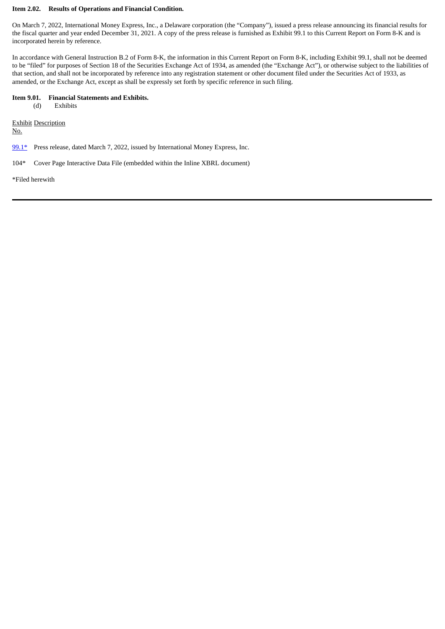# **Item 2.02. Results of Operations and Financial Condition.**

On March 7, 2022, International Money Express, Inc., a Delaware corporation (the "Company"), issued a press release announcing its financial results for the fiscal quarter and year ended December 31, 2021. A copy of the press release is furnished as Exhibit 99.1 to this Current Report on Form 8-K and is incorporated herein by reference.

In accordance with General Instruction B.2 of Form 8-K, the information in this Current Report on Form 8-K, including Exhibit 99.1, shall not be deemed to be "filed" for purposes of Section 18 of the Securities Exchange Act of 1934, as amended (the "Exchange Act"), or otherwise subject to the liabilities of that section, and shall not be incorporated by reference into any registration statement or other document filed under the Securities Act of 1933, as amended, or the Exchange Act, except as shall be expressly set forth by specific reference in such filing.

## **Item 9.01. Financial Statements and Exhibits.**

(d) Exhibits

Exhibit Description

No.

 $99.1*$  Press release, dated March 7, 2022, issued by International Money Express, Inc.

104\* Cover Page Interactive Data File (embedded within the Inline XBRL document)

\*Filed herewith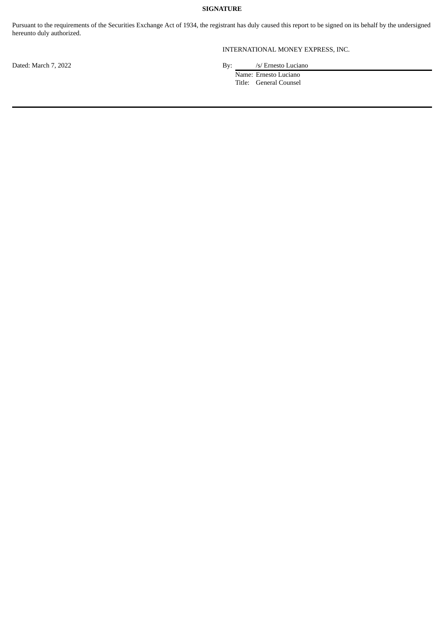# **SIGNATURE**

Pursuant to the requirements of the Securities Exchange Act of 1934, the registrant has duly caused this report to be signed on its behalf by the undersigned hereunto duly authorized.

INTERNATIONAL MONEY EXPRESS, INC.

Dated: March 7, 2022 **By:** /s/ Ernesto Luciano

Name: Ernesto Luciano Title: General Counsel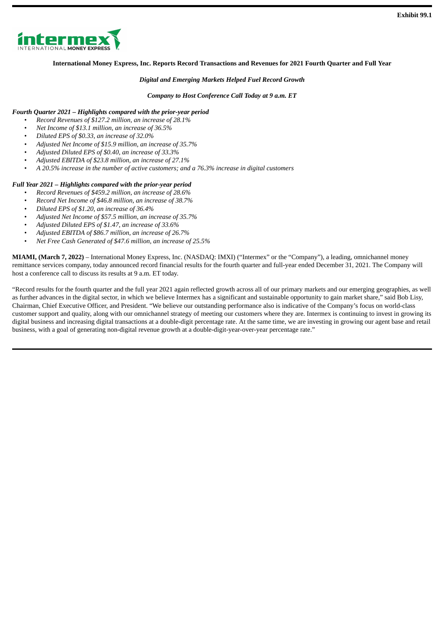<span id="page-3-0"></span>

# **International Money Express, Inc. Reports Record Transactions and Revenues for 2021 Fourth Quarter and Full Year**

## *Digital and Emerging Markets Helped Fuel Record Growth*

## *Company to Host Conference Call Today at 9 a.m. ET*

# *Fourth Quarter 2021 – Highlights compared with the prior-year period*

- *Record Revenues of \$127.2 million, an increase of 28.1%*
- *Net Income of \$13.1 million, an increase of 36.5%*
- *Diluted EPS of \$0.33, an increase of 32.0%*
- *Adjusted Net Income of \$15.9 million, an increase of 35.7%*
- *Adjusted Diluted EPS of \$0.40, an increase of 33.3%*
- *Adjusted EBITDA of \$23.8 million, an increase of 27.1%*
- *A 20.5% increase in the number of active customers; and a 76.3% increase in digital customers*

# *Full Year 2021 – Highlights compared with the prior-year period*

- *Record Revenues of \$459.2 million, an increase of 28.6%*
- *Record Net Income of \$46.8 million, an increase of 38.7%*
- *Diluted EPS of \$1.20, an increase of 36.4%*
- *Adjusted Net Income of \$57.5 million, an increase of 35.7%*
- *Adjusted Diluted EPS of \$1.47, an increase of 33.6%*
- *Adjusted EBITDA of \$86.7 million, an increase of 26.7%*
- *Net Free Cash Generated of \$47.6 million, an increase of 25.5%*

**MIAMI, (March 7, 2022)** – International Money Express, Inc. (NASDAQ: IMXI) ("Intermex" or the "Company"), a leading, omnichannel money remittance services company, today announced record financial results for the fourth quarter and full-year ended December 31, 2021. The Company will host a conference call to discuss its results at 9 a.m. ET today.

"Record results for the fourth quarter and the full year 2021 again reflected growth across all of our primary markets and our emerging geographies, as well as further advances in the digital sector, in which we believe Intermex has a significant and sustainable opportunity to gain market share," said Bob Lisy, Chairman, Chief Executive Officer, and President. "We believe our outstanding performance also is indicative of the Company's focus on world-class customer support and quality, along with our omnichannel strategy of meeting our customers where they are. Intermex is continuing to invest in growing its digital business and increasing digital transactions at a double-digit percentage rate. At the same time, we are investing in growing our agent base and retail business, with a goal of generating non-digital revenue growth at a double-digit-year-over-year percentage rate."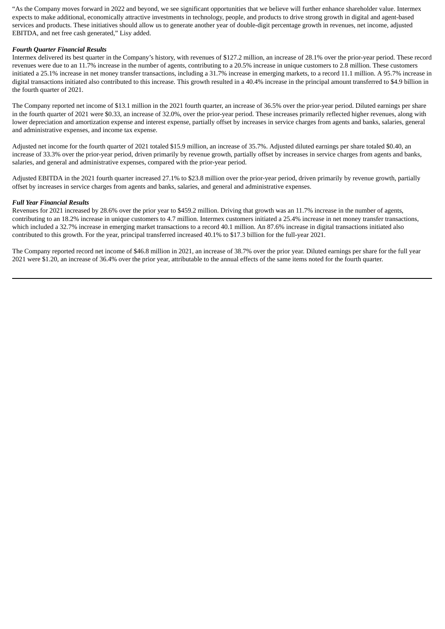"As the Company moves forward in 2022 and beyond, we see significant opportunities that we believe will further enhance shareholder value. Intermex expects to make additional, economically attractive investments in technology, people, and products to drive strong growth in digital and agent-based services and products. These initiatives should allow us to generate another year of double-digit percentage growth in revenues, net income, adjusted EBITDA, and net free cash generated," Lisy added.

# *Fourth Quarter Financial Results*

Intermex delivered its best quarter in the Company's history, with revenues of \$127.2 million, an increase of 28.1% over the prior-year period. These record revenues were due to an 11.7% increase in the number of agents, contributing to a 20.5% increase in unique customers to 2.8 million. These customers initiated a 25.1% increase in net money transfer transactions, including a 31.7% increase in emerging markets, to a record 11.1 million. A 95.7% increase in digital transactions initiated also contributed to this increase. This growth resulted in a 40.4% increase in the principal amount transferred to \$4.9 billion in the fourth quarter of 2021.

The Company reported net income of \$13.1 million in the 2021 fourth quarter, an increase of 36.5% over the prior-year period. Diluted earnings per share in the fourth quarter of 2021 were \$0.33, an increase of 32.0%, over the prior-year period. These increases primarily reflected higher revenues, along with lower depreciation and amortization expense and interest expense, partially offset by increases in service charges from agents and banks, salaries, general and administrative expenses, and income tax expense.

Adjusted net income for the fourth quarter of 2021 totaled \$15.9 million, an increase of 35.7%. Adjusted diluted earnings per share totaled \$0.40, an increase of 33.3% over the prior-year period, driven primarily by revenue growth, partially offset by increases in service charges from agents and banks, salaries, and general and administrative expenses, compared with the prior-year period.

Adjusted EBITDA in the 2021 fourth quarter increased 27.1% to \$23.8 million over the prior-year period, driven primarily by revenue growth, partially offset by increases in service charges from agents and banks, salaries, and general and administrative expenses.

#### *Full Year Financial Results*

Revenues for 2021 increased by 28.6% over the prior year to \$459.2 million. Driving that growth was an 11.7% increase in the number of agents, contributing to an 18.2% increase in unique customers to 4.7 million. Intermex customers initiated a 25.4% increase in net money transfer transactions, which included a 32.7% increase in emerging market transactions to a record 40.1 million. An 87.6% increase in digital transactions initiated also contributed to this growth. For the year, principal transferred increased 40.1% to \$17.3 billion for the full-year 2021.

The Company reported record net income of \$46.8 million in 2021, an increase of 38.7% over the prior year. Diluted earnings per share for the full year 2021 were \$1.20, an increase of 36.4% over the prior year, attributable to the annual effects of the same items noted for the fourth quarter.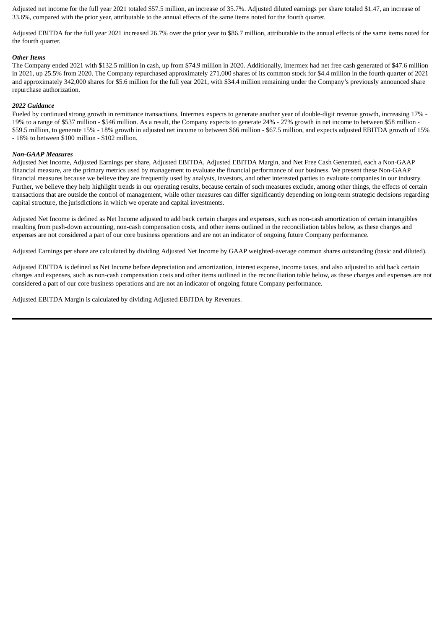Adjusted net income for the full year 2021 totaled \$57.5 million, an increase of 35.7%. Adjusted diluted earnings per share totaled \$1.47, an increase of 33.6%, compared with the prior year, attributable to the annual effects of the same items noted for the fourth quarter.

Adjusted EBITDA for the full year 2021 increased 26.7% over the prior year to \$86.7 million, attributable to the annual effects of the same items noted for the fourth quarter.

#### *Other Items*

The Company ended 2021 with \$132.5 million in cash, up from \$74.9 million in 2020. Additionally, Intermex had net free cash generated of \$47.6 million in 2021, up 25.5% from 2020. The Company repurchased approximately 271,000 shares of its common stock for \$4.4 million in the fourth quarter of 2021 and approximately 342,000 shares for \$5.6 million for the full year 2021, with \$34.4 million remaining under the Company's previously announced share repurchase authorization.

#### *2022 Guidance*

Fueled by continued strong growth in remittance transactions, Intermex expects to generate another year of double-digit revenue growth, increasing 17% - 19% to a range of \$537 million - \$546 million. As a result, the Company expects to generate 24% - 27% growth in net income to between \$58 million - \$59.5 million, to generate 15% - 18% growth in adjusted net income to between \$66 million - \$67.5 million, and expects adjusted EBITDA growth of 15% - 18% to between \$100 million - \$102 million.

#### *Non-GAAP Measures*

Adjusted Net Income, Adjusted Earnings per share, Adjusted EBITDA, Adjusted EBITDA Margin, and Net Free Cash Generated, each a Non-GAAP financial measure, are the primary metrics used by management to evaluate the financial performance of our business. We present these Non-GAAP financial measures because we believe they are frequently used by analysts, investors, and other interested parties to evaluate companies in our industry. Further, we believe they help highlight trends in our operating results, because certain of such measures exclude, among other things, the effects of certain transactions that are outside the control of management, while other measures can differ significantly depending on long-term strategic decisions regarding capital structure, the jurisdictions in which we operate and capital investments.

Adjusted Net Income is defined as Net Income adjusted to add back certain charges and expenses, such as non-cash amortization of certain intangibles resulting from push-down accounting, non-cash compensation costs, and other items outlined in the reconciliation tables below, as these charges and expenses are not considered a part of our core business operations and are not an indicator of ongoing future Company performance.

Adjusted Earnings per share are calculated by dividing Adjusted Net Income by GAAP weighted-average common shares outstanding (basic and diluted).

Adjusted EBITDA is defined as Net Income before depreciation and amortization, interest expense, income taxes, and also adjusted to add back certain charges and expenses, such as non-cash compensation costs and other items outlined in the reconciliation table below, as these charges and expenses are not considered a part of our core business operations and are not an indicator of ongoing future Company performance.

Adjusted EBITDA Margin is calculated by dividing Adjusted EBITDA by Revenues.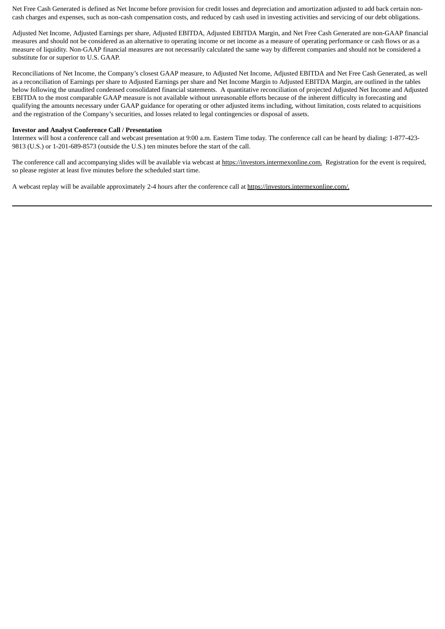Net Free Cash Generated is defined as Net Income before provision for credit losses and depreciation and amortization adjusted to add back certain noncash charges and expenses, such as non-cash compensation costs, and reduced by cash used in investing activities and servicing of our debt obligations.

Adjusted Net Income, Adjusted Earnings per share, Adjusted EBITDA, Adjusted EBITDA Margin, and Net Free Cash Generated are non-GAAP financial measures and should not be considered as an alternative to operating income or net income as a measure of operating performance or cash flows or as a measure of liquidity. Non-GAAP financial measures are not necessarily calculated the same way by different companies and should not be considered a substitute for or superior to U.S. GAAP.

Reconciliations of Net Income, the Company's closest GAAP measure, to Adjusted Net Income, Adjusted EBITDA and Net Free Cash Generated, as well as a reconciliation of Earnings per share to Adjusted Earnings per share and Net Income Margin to Adjusted EBITDA Margin, are outlined in the tables below following the unaudited condensed consolidated financial statements. A quantitative reconciliation of projected Adjusted Net Income and Adjusted EBITDA to the most comparable GAAP measure is not available without unreasonable efforts because of the inherent difficulty in forecasting and qualifying the amounts necessary under GAAP guidance for operating or other adjusted items including, without limitation, costs related to acquisitions and the registration of the Company's securities, and losses related to legal contingencies or disposal of assets.

#### **Investor and Analyst Conference Call / Presentation**

Intermex will host a conference call and webcast presentation at 9:00 a.m. Eastern Time today. The conference call can be heard by dialing: 1-877-423- 9813 (U.S.) or 1-201-689-8573 (outside the U.S.) ten minutes before the start of the call.

The conference call and accompanying slides will be available via webcast at https://investors.intermexonline.com. Registration for the event is required, so please register at least five minutes before the scheduled start time.

A webcast replay will be available approximately 2-4 hours after the conference call at https://investors.intermexonline.com/.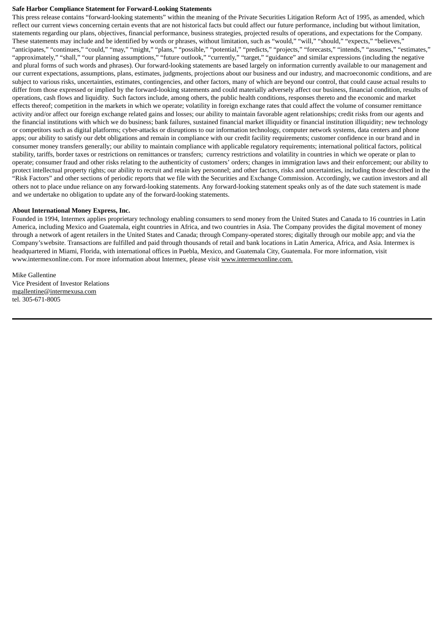#### **Safe Harbor Compliance Statement for Forward-Looking Statements**

This press release contains "forward-looking statements" within the meaning of the Private Securities Litigation Reform Act of 1995, as amended, which reflect our current views concerning certain events that are not historical facts but could affect our future performance, including but without limitation, statements regarding our plans, objectives, financial performance, business strategies, projected results of operations, and expectations for the Company. These statements may include and be identified by words or phrases, without limitation, such as "would," "will," "should," "expects," "believes," "anticipates," "continues," "could," "may," "might," "plans," "possible," "potential," "predicts," "projects," "forecasts," "intends," "assumes," "estimates," "approximately," "shall," "our planning assumptions," "future outlook," "currently," "target," "guidance" and similar expressions (including the negative and plural forms of such words and phrases). Our forward-looking statements are based largely on information currently available to our management and our current expectations, assumptions, plans, estimates, judgments, projections about our business and our industry, and macroeconomic conditions, and are subject to various risks, uncertainties, estimates, contingencies, and other factors, many of which are beyond our control, that could cause actual results to differ from those expressed or implied by the forward-looking statements and could materially adversely affect our business, financial condition, results of operations, cash flows and liquidity. Such factors include, among others, the public health conditions, responses thereto and the economic and market effects thereof; competition in the markets in which we operate; volatility in foreign exchange rates that could affect the volume of consumer remittance activity and/or affect our foreign exchange related gains and losses; our ability to maintain favorable agent relationships; credit risks from our agents and the financial institutions with which we do business; bank failures, sustained financial market illiquidity or financial institution illiquidity; new technology or competitors such as digital platforms; cyber-attacks or disruptions to our information technology, computer network systems, data centers and phone apps; our ability to satisfy our debt obligations and remain in compliance with our credit facility requirements; customer confidence in our brand and in consumer money transfers generally; our ability to maintain compliance with applicable regulatory requirements; international political factors, political stability, tariffs, border taxes or restrictions on remittances or transfers; currency restrictions and volatility in countries in which we operate or plan to operate; consumer fraud and other risks relating to the authenticity of customers' orders; changes in immigration laws and their enforcement; our ability to protect intellectual property rights; our ability to recruit and retain key personnel; and other factors, risks and uncertainties, including those described in the "Risk Factors" and other sections of periodic reports that we file with the Securities and Exchange Commission. Accordingly, we caution investors and all others not to place undue reliance on any forward-looking statements. Any forward-looking statement speaks only as of the date such statement is made and we undertake no obligation to update any of the forward-looking statements.

# **About International Money Express, Inc.**

Founded in 1994, Intermex applies proprietary technology enabling consumers to send money from the United States and Canada to 16 countries in Latin America, including Mexico and Guatemala, eight countries in Africa, and two countries in Asia. The Company provides the digital movement of money through a network of agent retailers in the United States and Canada; through Company-operated stores; digitally through our mobile app; and via the Company'swebsite. Transactions are fulfilled and paid through thousands of retail and bank locations in Latin America, Africa, and Asia. Intermex is headquartered in Miami, Florida, with international offices in Puebla, Mexico, and Guatemala City, Guatemala. For more information, visit www.intermexonline.com. For more information about Intermex, please visit www.intermexonline.com.

Mike Gallentine Vice President of Investor Relations mgallentine@intermexusa.com tel. 305-671-8005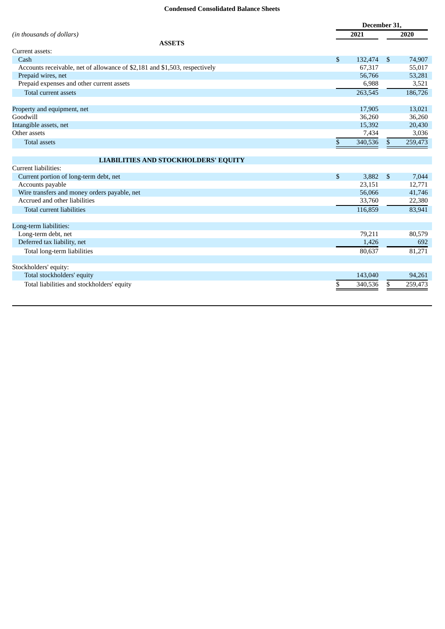# **Condensed Consolidated Balance Sheets**

|                                                                            |              | December 31. |                |         |
|----------------------------------------------------------------------------|--------------|--------------|----------------|---------|
| (in thousands of dollars)                                                  |              | 2021         |                | 2020    |
| <b>ASSETS</b>                                                              |              |              |                |         |
| Current assets:                                                            |              |              |                |         |
| Cash                                                                       | $\mathbb{S}$ | 132,474      | \$             | 74,907  |
| Accounts receivable, net of allowance of \$2,181 and \$1,503, respectively |              | 67,317       |                | 55,017  |
| Prepaid wires, net                                                         |              | 56,766       |                | 53,281  |
| Prepaid expenses and other current assets                                  |              | 6,988        |                | 3,521   |
| Total current assets                                                       |              | 263,545      |                | 186,726 |
| Property and equipment, net                                                |              | 17,905       |                | 13,021  |
| Goodwill                                                                   |              | 36,260       |                | 36,260  |
| Intangible assets, net                                                     |              | 15,392       |                | 20,430  |
| Other assets                                                               |              | 7,434        |                | 3,036   |
| <b>Total assets</b>                                                        | \$           | 340,536      | $\mathbb{S}$   | 259,473 |
| <b>LIABILITIES AND STOCKHOLDERS' EQUITY</b>                                |              |              |                |         |
| Current liabilities:                                                       |              |              |                |         |
| Current portion of long-term debt, net                                     | \$           | 3,882        | $\mathfrak{s}$ | 7,044   |
| Accounts payable                                                           |              | 23,151       |                | 12,771  |
| Wire transfers and money orders payable, net                               |              | 56,066       |                | 41,746  |
| Accrued and other liabilities                                              |              | 33,760       |                | 22,380  |
| <b>Total current liabilities</b>                                           |              | 116,859      |                | 83,941  |
| Long-term liabilities:                                                     |              |              |                |         |
| Long-term debt, net                                                        |              | 79,211       |                | 80,579  |
| Deferred tax liability, net                                                |              | 1,426        |                | 692     |
| Total long-term liabilities                                                |              | 80,637       |                | 81,271  |
| Stockholders' equity:                                                      |              |              |                |         |
| Total stockholders' equity                                                 |              | 143,040      |                | 94,261  |
| Total liabilities and stockholders' equity                                 | \$           | 340,536      | \$             | 259,473 |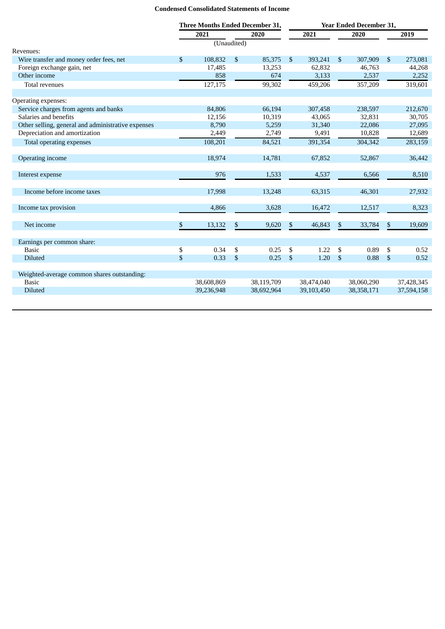# **Condensed Consolidated Statements of Income**

|                                                    | <b>Three Months Ended December 31,</b> |             |              | <b>Year Ended December 31,</b> |                           |            |                |            |                |            |
|----------------------------------------------------|----------------------------------------|-------------|--------------|--------------------------------|---------------------------|------------|----------------|------------|----------------|------------|
|                                                    |                                        | 2021        |              | 2020                           |                           | 2021       |                | 2020       |                | 2019       |
|                                                    |                                        | (Unaudited) |              |                                |                           |            |                |            |                |            |
| Revenues:                                          |                                        |             |              |                                |                           |            |                |            |                |            |
| Wire transfer and money order fees, net            | $\mathfrak{S}$                         | 108,832     | $\mathbb{S}$ | 85,375                         | \$                        | 393,241    | $\mathfrak{S}$ | 307,909    | $\mathfrak{S}$ | 273,081    |
| Foreign exchange gain, net                         |                                        | 17,485      |              | 13,253                         |                           | 62,832     |                | 46,763     |                | 44,268     |
| Other income                                       |                                        | 858         |              | 674                            |                           | 3,133      |                | 2,537      |                | 2,252      |
| Total revenues                                     |                                        | 127,175     |              | 99,302                         |                           | 459,206    |                | 357,209    |                | 319,601    |
| Operating expenses:                                |                                        |             |              |                                |                           |            |                |            |                |            |
| Service charges from agents and banks              |                                        | 84,806      |              | 66,194                         |                           | 307,458    |                | 238,597    |                | 212,670    |
| Salaries and benefits                              |                                        | 12,156      |              | 10,319                         |                           | 43,065     |                | 32,831     |                | 30,705     |
| Other selling, general and administrative expenses |                                        | 8,790       |              | 5,259                          |                           | 31,340     |                | 22,086     |                | 27,095     |
| Depreciation and amortization                      |                                        | 2,449       |              | 2,749                          |                           | 9,491      |                | 10,828     |                | 12,689     |
| Total operating expenses                           |                                        | 108,201     |              | 84,521                         |                           | 391,354    |                | 304,342    |                | 283,159    |
| Operating income                                   |                                        | 18,974      |              | 14,781                         |                           | 67,852     |                | 52,867     |                | 36,442     |
| Interest expense                                   |                                        | 976         |              | 1,533                          |                           | 4,537      |                | 6,566      |                | 8,510      |
| Income before income taxes                         |                                        | 17,998      |              | 13,248                         |                           | 63,315     |                | 46,301     |                | 27,932     |
| Income tax provision                               |                                        | 4,866       |              | 3,628                          |                           | 16,472     |                | 12,517     |                | 8,323      |
| Net income                                         | \$                                     | 13,132      | \$           | 9,620                          | \$                        | 46,843     | \$             | 33,784     | $\mathbb{S}$   | 19,609     |
| Earnings per common share:                         |                                        |             |              |                                |                           |            |                |            |                |            |
| <b>Basic</b>                                       | \$                                     | 0.34        | \$           | 0.25                           | \$                        | 1.22       | \$             | 0.89       | \$             | 0.52       |
| <b>Diluted</b>                                     | \$                                     | 0.33        | \$           | 0.25                           | $\boldsymbol{\mathsf{S}}$ | 1.20       | $\mathfrak{L}$ | 0.88       | $\sqrt{3}$     | 0.52       |
| Weighted-average common shares outstanding:        |                                        |             |              |                                |                           |            |                |            |                |            |
| <b>Basic</b>                                       |                                        | 38,608,869  |              | 38,119,709                     |                           | 38,474,040 |                | 38,060,290 |                | 37,428,345 |
| <b>Diluted</b>                                     |                                        | 39,236,948  |              | 38,692,964                     |                           | 39,103,450 |                | 38,358,171 |                | 37,594,158 |
|                                                    |                                        |             |              |                                |                           |            |                |            |                |            |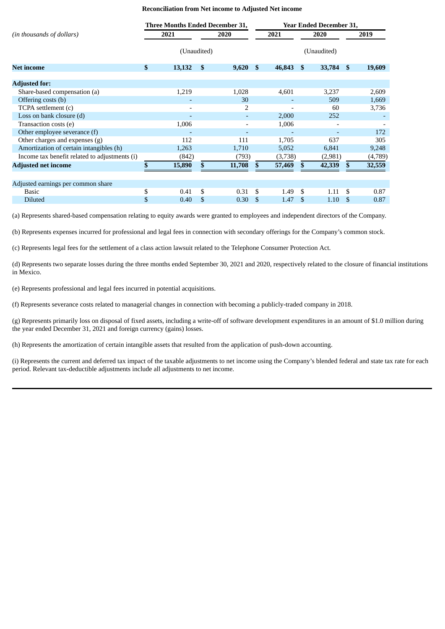# **Reconciliation from Net income to Adjusted Net income**

|                                               | <b>Three Months Ended December 31,</b> |             |              |        |               |         | <b>Year Ended December 31,</b> |             |     |         |
|-----------------------------------------------|----------------------------------------|-------------|--------------|--------|---------------|---------|--------------------------------|-------------|-----|---------|
| (in thousands of dollars)                     | 2021                                   |             | 2020         |        |               | 2021    |                                | 2020        |     | 2019    |
|                                               |                                        | (Unaudited) |              |        |               |         |                                | (Unaudited) |     |         |
| <b>Net income</b>                             | \$                                     | 13,132      | $\mathbf{s}$ | 9,620  | - \$          | 46,843  | - \$                           | 33,784 \$   |     | 19,609  |
| <b>Adjusted for:</b>                          |                                        |             |              |        |               |         |                                |             |     |         |
| Share-based compensation (a)                  |                                        | 1,219       |              | 1,028  |               | 4,601   |                                | 3,237       |     | 2,609   |
| Offering costs (b)                            |                                        |             |              | 30     |               |         |                                | 509         |     | 1,669   |
| TCPA settlement (c)                           |                                        |             |              | 2      |               |         |                                | 60          |     | 3,736   |
| Loss on bank closure (d)                      |                                        |             |              |        |               | 2,000   |                                | 252         |     |         |
| Transaction costs (e)                         |                                        | 1,006       |              |        |               | 1,006   |                                |             |     |         |
| Other employee severance (f)                  |                                        |             |              |        |               |         |                                |             |     | 172     |
| Other charges and expenses (g)                |                                        | 112         |              | 111    |               | 1,705   |                                | 637         |     | 305     |
| Amortization of certain intangibles (h)       |                                        | 1,263       |              | 1,710  |               | 5,052   |                                | 6,841       |     | 9,248   |
| Income tax benefit related to adjustments (i) |                                        | (842)       |              | (793)  |               | (3,738) |                                | (2,981)     |     | (4,789) |
| <b>Adjusted net income</b>                    |                                        | 15,890      | \$           | 11,708 | \$.           | 57,469  | \$                             | 42,339      | \$. | 32,559  |
|                                               |                                        |             |              |        |               |         |                                |             |     |         |
| Adjusted earnings per common share            | \$                                     | 0.41        | \$           | 0.31   | \$.           | 1.49    | \$.                            | 1.11        | .S  | 0.87    |
| Basic                                         |                                        |             | \$           |        |               |         |                                |             |     |         |
| <b>Diluted</b>                                | \$                                     | 0.40        |              | 0.30   | <sup>\$</sup> | 1.47    | \$                             | 1.10        | -S  | 0.87    |

(a) Represents shared-based compensation relating to equity awards were granted to employees and independent directors of the Company.

(b) Represents expenses incurred for professional and legal fees in connection with secondary offerings for the Company's common stock.

(c) Represents legal fees for the settlement of a class action lawsuit related to the Telephone Consumer Protection Act.

(d) Represents two separate losses during the three months ended September 30, 2021 and 2020, respectively related to the closure of financial institutions in Mexico.

(e) Represents professional and legal fees incurred in potential acquisitions.

(f) Represents severance costs related to managerial changes in connection with becoming a publicly-traded company in 2018.

(g) Represents primarily loss on disposal of fixed assets, including a write-off of software development expenditures in an amount of \$1.0 million during the year ended December 31, 2021 and foreign currency (gains) losses.

(h) Represents the amortization of certain intangible assets that resulted from the application of push-down accounting.

(i) Represents the current and deferred tax impact of the taxable adjustments to net income using the Company's blended federal and state tax rate for each period. Relevant tax-deductible adjustments include all adjustments to net income.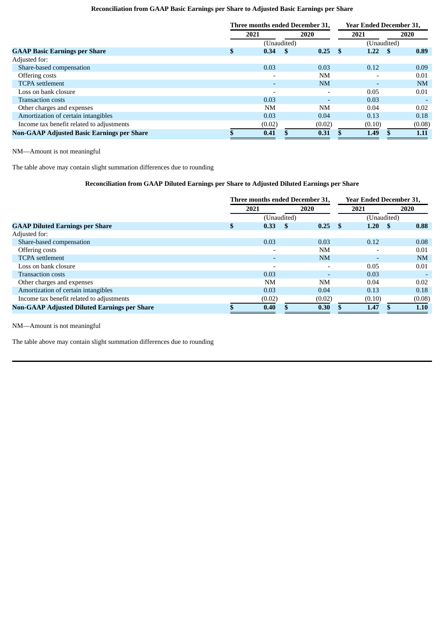# **Reconciliation from GAAP Basic Earnings per Share to Adjusted Basic Earnings per Share**

|                                                   | Three months ended December 31. |             |      |                          |      | <b>Year Ended December 31.</b> |            |  |  |  |
|---------------------------------------------------|---------------------------------|-------------|------|--------------------------|------|--------------------------------|------------|--|--|--|
|                                                   | 2021                            |             | 2020 |                          | 2021 |                                | 2020       |  |  |  |
|                                                   |                                 | (Unaudited) |      |                          |      | (Unaudited)                    |            |  |  |  |
| <b>GAAP Basic Earnings per Share</b>              | \$                              | 0.34        | -5   | 0.25                     | - \$ | 1.22                           | 0.89<br>-8 |  |  |  |
| Adjusted for:                                     |                                 |             |      |                          |      |                                |            |  |  |  |
| Share-based compensation                          |                                 | 0.03        |      | 0.03                     |      | 0.12                           | 0.09       |  |  |  |
| Offering costs                                    |                                 |             |      | <b>NM</b>                |      | $\overline{\phantom{0}}$       | 0.01       |  |  |  |
| <b>TCPA</b> settlement                            |                                 |             |      | <b>NM</b>                |      | ۰                              | NM         |  |  |  |
| Loss on bank closure                              |                                 |             |      | $\overline{\phantom{0}}$ |      | 0.05                           | 0.01       |  |  |  |
| <b>Transaction costs</b>                          |                                 | 0.03        |      | $\overline{\phantom{0}}$ |      | 0.03                           |            |  |  |  |
| Other charges and expenses                        |                                 | <b>NM</b>   |      | NM                       |      | 0.04                           | 0.02       |  |  |  |
| Amortization of certain intangibles               |                                 | 0.03        |      | 0.04                     |      | 0.13                           | 0.18       |  |  |  |
| Income tax benefit related to adjustments         |                                 | (0.02)      |      | (0.02)                   |      | (0.10)                         | (0.08)     |  |  |  |
| <b>Non-GAAP Adjusted Basic Earnings per Share</b> |                                 | 0.41        |      | 0.31                     |      | 1.49                           | 1.11       |  |  |  |

NM—Amount is not meaningful

The table above may contain slight summation differences due to rounding

# **Reconciliation from GAAP Diluted Earnings per Share to Adjusted Diluted Earnings per Share**

|                                                     | Three months ended December 31, |             |      |           |      | <b>Year Ended December 31,</b> |           |  |  |  |
|-----------------------------------------------------|---------------------------------|-------------|------|-----------|------|--------------------------------|-----------|--|--|--|
|                                                     | 2021                            |             | 2020 |           | 2021 |                                | 2020      |  |  |  |
|                                                     |                                 | (Unaudited) |      |           |      | (Unaudited)                    |           |  |  |  |
| <b>GAAP Diluted Earnings per Share</b>              | \$.                             | 0.33        | -8   | 0.25      | - \$ | 1.20<br>- \$                   | 0.88      |  |  |  |
| Adjusted for:                                       |                                 |             |      |           |      |                                |           |  |  |  |
| Share-based compensation                            |                                 | 0.03        |      | 0.03      |      | 0.12                           | 0.08      |  |  |  |
| Offering costs                                      |                                 |             |      | <b>NM</b> |      | $\overline{\phantom{0}}$       | 0.01      |  |  |  |
| <b>TCPA</b> settlement                              |                                 |             |      | <b>NM</b> |      | $\overline{\phantom{0}}$       | <b>NM</b> |  |  |  |
| Loss on bank closure                                |                                 |             |      |           |      | 0.05                           | 0.01      |  |  |  |
| <b>Transaction costs</b>                            |                                 | 0.03        |      |           |      | 0.03                           |           |  |  |  |
| Other charges and expenses                          |                                 | <b>NM</b>   |      | <b>NM</b> |      | 0.04                           | 0.02      |  |  |  |
| Amortization of certain intangibles                 |                                 | 0.03        |      | 0.04      |      | 0.13                           | 0.18      |  |  |  |
| Income tax benefit related to adjustments           |                                 | (0.02)      |      | (0.02)    |      | (0.10)                         | (0.08)    |  |  |  |
| <b>Non-GAAP Adjusted Diluted Earnings per Share</b> |                                 | 0.40        |      | 0.30      |      | 1.47                           | 1.10      |  |  |  |

NM—Amount is not meaningful

The table above may contain slight summation differences due to rounding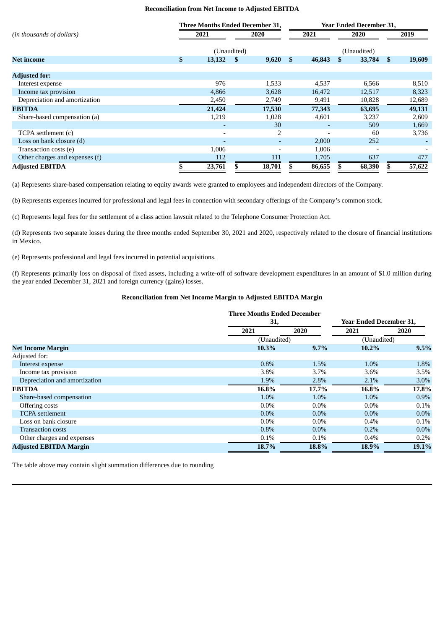## **Reconciliation from Net Income to Adjusted EBITDA**

|                                | <b>Three Months Ended December 31,</b> |                          |      |        | <b>Year Ended December 31,</b> |        |      |             |               |        |
|--------------------------------|----------------------------------------|--------------------------|------|--------|--------------------------------|--------|------|-------------|---------------|--------|
| (in thousands of dollars)      |                                        | 2021                     | 2020 |        | 2021                           |        | 2020 |             |               | 2019   |
|                                |                                        | (Unaudited)              |      |        |                                |        |      | (Unaudited) |               |        |
| <b>Net income</b>              | \$                                     | 13,132                   | - \$ | 9,620  | <sup>\$</sup>                  | 46,843 |      | 33,784      | <sup>\$</sup> | 19,609 |
| <b>Adjusted for:</b>           |                                        |                          |      |        |                                |        |      |             |               |        |
| Interest expense               |                                        | 976                      |      | 1,533  |                                | 4,537  |      | 6,566       |               | 8,510  |
| Income tax provision           |                                        | 4,866                    |      | 3,628  |                                | 16,472 |      | 12,517      |               | 8,323  |
| Depreciation and amortization  |                                        | 2,450                    |      | 2,749  |                                | 9,491  |      | 10,828      |               | 12,689 |
| <b>EBITDA</b>                  |                                        | 21,424                   |      | 17,530 |                                | 77,343 |      | 63,695      |               | 49,131 |
| Share-based compensation (a)   |                                        | 1,219                    |      | 1,028  |                                | 4,601  |      | 3,237       |               | 2,609  |
|                                |                                        |                          |      | 30     |                                |        |      | 509         |               | 1,669  |
| TCPA settlement (c)            |                                        |                          |      | 2      |                                |        |      | -60         |               | 3,736  |
| Loss on bank closure (d)       |                                        | $\overline{\phantom{0}}$ |      |        |                                | 2,000  |      | 252         |               |        |
| Transaction costs (e)          |                                        | 1,006                    |      |        |                                | 1,006  |      |             |               |        |
| Other charges and expenses (f) |                                        | 112                      |      | 111    |                                | 1,705  |      | 637         |               | 477    |
| <b>Adjusted EBITDA</b>         |                                        | 23,761                   |      | 18,701 |                                | 86,655 |      | 68,390      |               | 57,622 |

(a) Represents share-based compensation relating to equity awards were granted to employees and independent directors of the Company.

(b) Represents expenses incurred for professional and legal fees in connection with secondary offerings of the Company's common stock.

(c) Represents legal fees for the settlement of a class action lawsuit related to the Telephone Consumer Protection Act.

(d) Represents two separate losses during the three months ended September 30, 2021 and 2020, respectively related to the closure of financial institutions in Mexico.

(e) Represents professional and legal fees incurred in potential acquisitions.

(f) Represents primarily loss on disposal of fixed assets, including a write-off of software development expenditures in an amount of \$1.0 million during the year ended December 31, 2021 and foreign currency (gains) losses.

#### **Reconciliation from Net Income Margin to Adjusted EBITDA Margin**

|                               | <b>Three Months Ended December</b><br>31, |         | <b>Year Ended December 31,</b> |         |  |
|-------------------------------|-------------------------------------------|---------|--------------------------------|---------|--|
|                               | 2021                                      | 2020    | 2021                           | 2020    |  |
|                               | (Unaudited)                               |         | (Unaudited)                    |         |  |
| <b>Net Income Margin</b>      | 10.3%                                     | 9.7%    | $10.2\%$                       | 9.5%    |  |
| Adjusted for:                 |                                           |         |                                |         |  |
| Interest expense              | 0.8%                                      | 1.5%    | 1.0%                           | 1.8%    |  |
| Income tax provision          | 3.8%                                      | 3.7%    | 3.6%                           | 3.5%    |  |
| Depreciation and amortization | 1.9%                                      | 2.8%    | 2.1%                           | $3.0\%$ |  |
| <b>EBITDA</b>                 | 16.8%                                     | 17.7%   | 16.8%                          | 17.8%   |  |
| Share-based compensation      | 1.0%                                      | 1.0%    | 1.0%                           | $0.9\%$ |  |
| Offering costs                | $0.0\%$                                   | $0.0\%$ | $0.0\%$                        | $0.1\%$ |  |
| <b>TCPA</b> settlement        | $0.0\%$                                   | $0.0\%$ | $0.0\%$                        | $0.0\%$ |  |
| Loss on bank closure          | $0.0\%$                                   | $0.0\%$ | 0.4%                           | 0.1%    |  |
| <b>Transaction costs</b>      | 0.8%                                      | $0.0\%$ | 0.2%                           | $0.0\%$ |  |
| Other charges and expenses    | $0.1\%$                                   | 0.1%    | 0.4%                           | 0.2%    |  |
| <b>Adjusted EBITDA Margin</b> | 18.7%                                     | 18.8%   | 18.9%                          | 19.1%   |  |

The table above may contain slight summation differences due to rounding